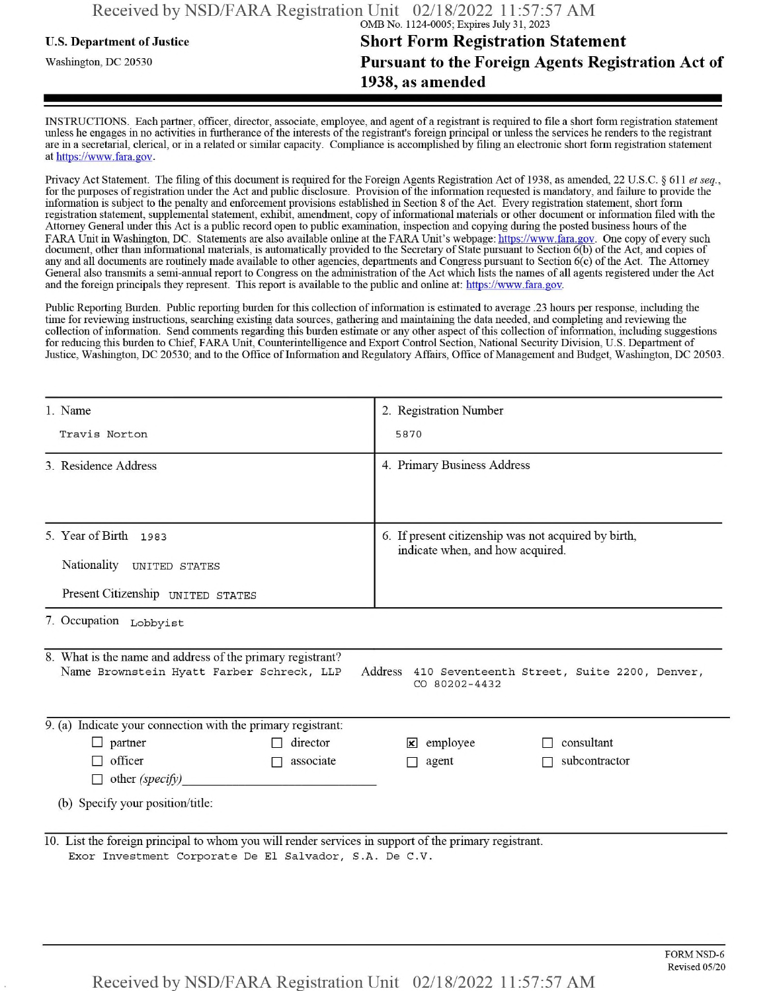## **u.s.** Department ofJustice **Short Form Registration Statement** Washington, dc <sup>20530</sup>**Pursuant to the Foreign Agents Registration Act of 1938, as amended**

INSTRUCTIONS. Each partner, officer, director, associate, employee, and agent of a registrant is required to file a short form registration statement unless he engages in no activities in furtherance ofthe interests ofthe registrant's foreign principal or unless the services he renders to the registrant are in a secretarial, clerical, or in a related or similar capacity. Compliance is accomplished by filing an electronic short form registration statement at https://www.fara.gov.

Privacy Act Statement. The filing of this document is required for the Foreign Agents Registration Act of 1938, as amended, 22 U.S.C. § 611 et seq., for the purposes ofregistration under the Act and public disclosure. Provision ofthe information requested is mandatory, and failure to provide the information is subject to the penalty and enforcement provisions established in Section 8 of the Act. Every registration statement, short form registration statement, supplemental statement, exhibit, amendment, copy ofinformational materials or other document or information filed with the Attorney General under this Act is a public record open to public examination, inspection and copying during the posted business hours ofthe FARA Unit in Washington, DC. Statements are also available online at the FARA Unit's webpage: https://www.fara.gov. One copy of every such document, other than informational materials, is automatically provided to the Secretary of State pursuant to Section 6(b) of the Act, and copies of any and all documents are routinely made available to other agencies, departments and Congress pursuant to Section 6(c) ofthe Act. The Attorney General also transmits a semi-annual report to Congress on the administration ofthe Act which lists the names of all agents registered under the Act and the foreign principals they represent. This report is available to the public and online at: https://www.fara.gov.

Public Reporting Burden. Public reporting burden for this collection ofinformation is estimated to average .23 hours per response, including the time for reviewing instructions, searching existing data sources, gathering and maintaining the data needed, and completing and reviewing the collection of information. Send comments regarding this burden estimate or any other aspect of this collection of information, including suggestions for reducing this burden to Chief, FARA Unit, Counterintelligence and Export Control Section, National Security Division, U.S. Department of Justice, Washington, DC 20530; and to the Office of Information and Regulatory Affairs, Office of Management and Budget, Washington, DC 20503.

| 1. Name                                                                                                                                                                           | 2. Registration Number                                                                   |  |  |  |
|-----------------------------------------------------------------------------------------------------------------------------------------------------------------------------------|------------------------------------------------------------------------------------------|--|--|--|
| Travis Norton                                                                                                                                                                     | 5870                                                                                     |  |  |  |
| 3 Residence Address                                                                                                                                                               | 4. Primary Business Address                                                              |  |  |  |
| 5. Year of Birth 1983<br>Nationality<br><b>UNITED STATES</b>                                                                                                                      | 6. If present citizenship was not acquired by birth,<br>indicate when, and how acquired. |  |  |  |
| Present Citizenship UNITED STATES                                                                                                                                                 |                                                                                          |  |  |  |
| 7. Occupation Lobbyist                                                                                                                                                            |                                                                                          |  |  |  |
| 8. What is the name and address of the primary registrant?<br>Name Brownstein Hyatt Farber Schreck, LLP<br>Address 410 Seventeenth Street, Suite 2200, Denver,<br>$CO$ 80202-4432 |                                                                                          |  |  |  |
| $\overline{9}$ . (a) Indicate your connection with the primary registrant:                                                                                                        |                                                                                          |  |  |  |
| director<br>$\Box$ partner                                                                                                                                                        | consultant<br>$\mathbf{\times}$ employee                                                 |  |  |  |
| officer<br>associate<br>П<br>$\Box$ other (specify)                                                                                                                               | subcontractor<br>agent                                                                   |  |  |  |
| (b) Specify your position/title:                                                                                                                                                  |                                                                                          |  |  |  |
| 10. List the foreign principal to whom you will render services in support of the primary registrant.<br>Exor Investment Corporate De El Salvador, S.A. De C.V.                   |                                                                                          |  |  |  |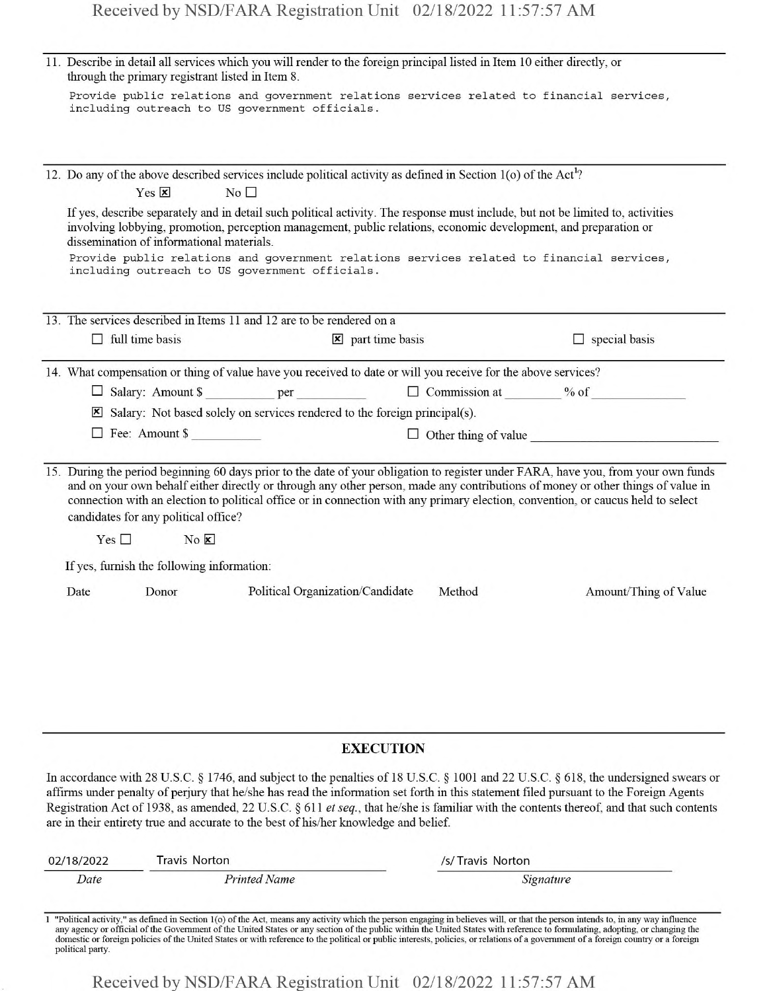| 11. Describe in detail all services which you will render to the foreign principal listed in Item 10 either directly, or<br>through the primary registrant listed in Item 8.                                                                                                                                                                                                                                                                                                                                       |  |  |  |
|--------------------------------------------------------------------------------------------------------------------------------------------------------------------------------------------------------------------------------------------------------------------------------------------------------------------------------------------------------------------------------------------------------------------------------------------------------------------------------------------------------------------|--|--|--|
| Provide public relations and government relations services related to financial services,<br>including outreach to US government officials.                                                                                                                                                                                                                                                                                                                                                                        |  |  |  |
|                                                                                                                                                                                                                                                                                                                                                                                                                                                                                                                    |  |  |  |
| 12. Do any of the above described services include political activity as defined in Section 1(o) of the Act <sup>1</sup> ?<br>Yes $\overline{\mathbf{x}}$<br>No <sub>1</sub>                                                                                                                                                                                                                                                                                                                                       |  |  |  |
| If yes, describe separately and in detail such political activity. The response must include, but not be limited to, activities<br>involving lobbying, promotion, perception management, public relations, economic development, and preparation or<br>dissemination of informational materials.                                                                                                                                                                                                                   |  |  |  |
| Provide public relations and government relations services related to financial services,<br>including outreach to US government officials.                                                                                                                                                                                                                                                                                                                                                                        |  |  |  |
| 13. The services described in Items 11 and 12 are to be rendered on a                                                                                                                                                                                                                                                                                                                                                                                                                                              |  |  |  |
| $\Box$ full time basis<br><b>コンス</b> (の) きく<br>$\Box$ special basis<br>$\mathbf{\times}$ part time basis                                                                                                                                                                                                                                                                                                                                                                                                           |  |  |  |
| 14. What compensation or thing of value have you received to date or will you receive for the above services?                                                                                                                                                                                                                                                                                                                                                                                                      |  |  |  |
|                                                                                                                                                                                                                                                                                                                                                                                                                                                                                                                    |  |  |  |
| $\boxtimes$ Salary: Not based solely on services rendered to the foreign principal(s).                                                                                                                                                                                                                                                                                                                                                                                                                             |  |  |  |
| $\Box$ Fee: Amount \$<br>$\Box$ Other thing of value                                                                                                                                                                                                                                                                                                                                                                                                                                                               |  |  |  |
| 15. During the period beginning 60 days prior to the date of your obligation to register under FARA, have you, from your own funds<br>and on your own behalf either directly or through any other person, made any contributions of money or other things of value in<br>connection with an election to political office or in connection with any primary election, convention, or caucus held to select<br>candidates for any political office?                                                                  |  |  |  |
| $Yes \Box$<br>$No \times$                                                                                                                                                                                                                                                                                                                                                                                                                                                                                          |  |  |  |
| If yes, furnish the following information:                                                                                                                                                                                                                                                                                                                                                                                                                                                                         |  |  |  |
| Donor<br>Political Organization/Candidate<br>Date<br>Method<br>Amount/Thing of Value                                                                                                                                                                                                                                                                                                                                                                                                                               |  |  |  |
|                                                                                                                                                                                                                                                                                                                                                                                                                                                                                                                    |  |  |  |
|                                                                                                                                                                                                                                                                                                                                                                                                                                                                                                                    |  |  |  |
| <b>EXECUTION</b>                                                                                                                                                                                                                                                                                                                                                                                                                                                                                                   |  |  |  |
| In accordance with 28 U.S.C. § 1746, and subject to the penalties of 18 U.S.C. § 1001 and 22 U.S.C. § 618, the undersigned swears or<br>affirms under penalty of perjury that he/she has read the information set forth in this statement filed pursuant to the Foreign Agents<br>Registration Act of 1938, as amended, 22 U.S.C. § 611 et seq., that he/she is familiar with the contents thereof, and that such contents<br>are in their entirety true and accurate to the best of his/her knowledge and belief. |  |  |  |

| 02/18/2022 | Travis Norton | /s/Travis Norton                                                                                                                                                                                                               |  |
|------------|---------------|--------------------------------------------------------------------------------------------------------------------------------------------------------------------------------------------------------------------------------|--|
| Date       | Printed Name  | Signature                                                                                                                                                                                                                      |  |
|            |               | Political activity," as defined in Section 1(o) of the Act, means any activity which the person engaging in believes will, or that the person intends to, in any way influgated by the Act, means any activity which the perso |  |

1 "Political activity," as defined in Section 1(o) of the Act, means any activity which the person engaging in believes will, or that the person intends to, in any way influence any agency or official of the Government of

Received by NSD/FARA Registration Unit 02/18/2022 11:57:57 AM